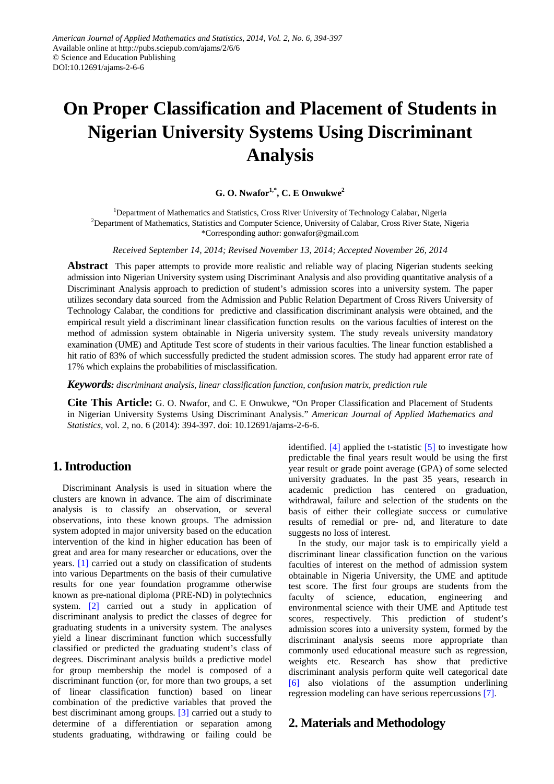# **On Proper Classification and Placement of Students in Nigerian University Systems Using Discriminant Analysis**

# **G. O. Nwafor1,\*, C. E Onwukwe2**

<sup>1</sup>Department of Mathematics and Statistics, Cross River University of Technology Calabar, Nigeria <sup>2</sup>Department of Mathematics, Statistics and Computer Science, University of Calabar, Cross River State, Nigeria \*Corresponding author: gonwafor@gmail.com

*Received September 14, 2014; Revised November 13, 2014; Accepted November 26, 2014*

**Abstract** This paper attempts to provide more realistic and reliable way of placing Nigerian students seeking admission into Nigerian University system using Discriminant Analysis and also providing quantitative analysis of a Discriminant Analysis approach to prediction of student's admission scores into a university system. The paper utilizes secondary data sourced from the Admission and Public Relation Department of Cross Rivers University of Technology Calabar, the conditions for predictive and classification discriminant analysis were obtained, and the empirical result yield a discriminant linear classification function results on the various faculties of interest on the method of admission system obtainable in Nigeria university system. The study reveals university mandatory examination (UME) and Aptitude Test score of students in their various faculties. The linear function established a hit ratio of 83% of which successfully predicted the student admission scores. The study had apparent error rate of 17% which explains the probabilities of misclassification.

*Keywords: discriminant analysis, linear classification function, confusion matrix, prediction rule*

**Cite This Article:** G. O. Nwafor, and C. E Onwukwe, "On Proper Classification and Placement of Students in Nigerian University Systems Using Discriminant Analysis." *American Journal of Applied Mathematics and Statistics*, vol. 2, no. 6 (2014): 394-397. doi: 10.12691/ajams-2-6-6.

# **1. Introduction**

Discriminant Analysis is used in situation where the clusters are known in advance. The aim of discriminate analysis is to classify an observation, or several observations, into these known groups. The admission system adopted in major university based on the education intervention of the kind in higher education has been of great and area for many researcher or educations, over the years. [\[1\]](#page-2-0) carried out a study on classification of students into various Departments on the basis of their cumulative results for one year foundation programme otherwise known as pre-national diploma (PRE-ND) in polytechnics system. [\[2\]](#page-2-1) carried out a study in application of discriminant analysis to predict the classes of degree for graduating students in a university system. The analyses yield a linear discriminant function which successfully classified or predicted the graduating student's class of degrees. Discriminant analysis builds a predictive model for group membership the model is composed of a discriminant function (or, for more than two groups, a set of linear classification function) based on linear combination of the predictive variables that proved the best discriminant among groups. [\[3\]](#page-3-0) carried out a study to determine of a differentiation or separation among students graduating, withdrawing or failing could be

identified.  $[4]$  applied the t-statistic  $[5]$  to investigate how predictable the final years result would be using the first year result or grade point average (GPA) of some selected university graduates. In the past 35 years, research in academic prediction has centered on graduation, withdrawal, failure and selection of the students on the basis of either their collegiate success or cumulative results of remedial or pre- nd, and literature to date suggests no loss of interest.

In the study, our major task is to empirically yield a discriminant linear classification function on the various faculties of interest on the method of admission system obtainable in Nigeria University, the UME and aptitude test score. The first four groups are students from the faculty of science, education, engineering and environmental science with their UME and Aptitude test scores, respectively. This prediction of student's admission scores into a university system, formed by the discriminant analysis seems more appropriate than commonly used educational measure such as regression, weights etc. Research has show that predictive discriminant analysis perform quite well categorical date [\[6\]](#page-3-3) also violations of the assumption underlining regression modeling can have serious repercussion[s \[7\].](#page-3-4)

# **2. Materials and Methodology**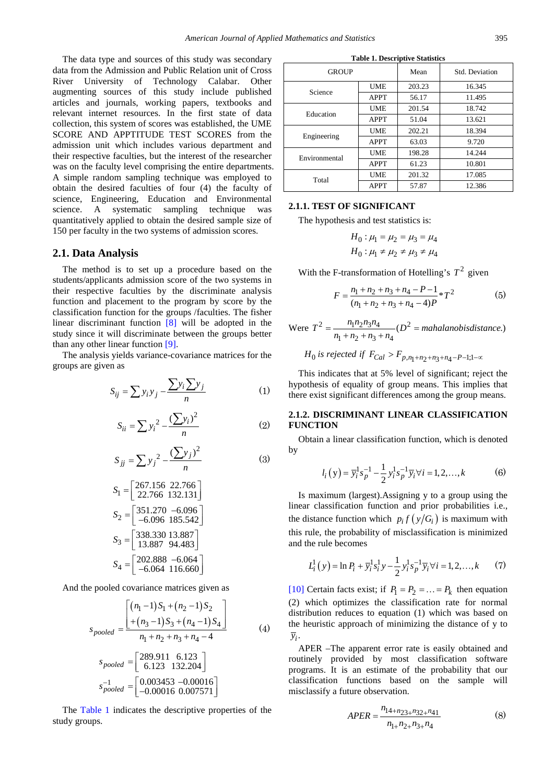The data type and sources of this study was secondary data from the Admission and Public Relation unit of Cross River University of Technology Calabar. Other augmenting sources of this study include published articles and journals, working papers, textbooks and relevant internet resources. In the first state of data collection, this system of scores was established, the UME SCORE AND APPTITUDE TEST SCORES from the admission unit which includes various department and their respective faculties, but the interest of the researcher was on the faculty level comprising the entire departments. A simple random sampling technique was employed to obtain the desired faculties of four (4) the faculty of science, Engineering, Education and Environmental science. A systematic sampling technique was quantitatively applied to obtain the desired sample size of 150 per faculty in the two systems of admission scores.

#### **2.1. Data Analysis**

The method is to set up a procedure based on the students/applicants admission score of the two systems in their respective faculties by the discriminate analysis function and placement to the program by score by the classification function for the groups /faculties. The fisher linear discriminant function  $[8]$  will be adopted in the study since it will discriminate between the groups better than any other linear function [\[9\].](#page-3-6)

The analysis yields variance-covariance matrices for the groups are given as

$$
S_{ij} = \sum y_i y_j - \frac{\sum y_i \sum y_j}{n}
$$
 (1)

$$
S_{ii} = \sum y_i^2 - \frac{(\sum y_i)^2}{n}
$$
 (2)

$$
S_{jj} = \sum y_j^2 - \frac{(\sum y_j)^2}{n}
$$
 (3)

$$
S_1 = \begin{bmatrix} 267.156 & 22.766 \\ 22.766 & 132.131 \end{bmatrix}
$$
  
\n
$$
S_2 = \begin{bmatrix} 351.270 & -6.096 \\ -6.096 & 185.542 \end{bmatrix}
$$
  
\n
$$
S_3 = \begin{bmatrix} 338.330 & 13.887 \\ 13.887 & 94.483 \end{bmatrix}
$$
  
\n
$$
S_4 = \begin{bmatrix} 202.888 & -6.064 \\ -6.064 & 116.660 \end{bmatrix}
$$

And the pooled covariance matrices given as

$$
s_{pooled} = \frac{\left[ (n_1 - 1)S_1 + (n_2 - 1)S_2 + (n_3 - 1)S_3 + (n_4 - 1)S_4 \right]}{+(n_3 - 1)S_3 + (n_4 - 1)S_4}
$$
(4)  

$$
s_{pooled} = \left[ 289.911 \quad 6.123
$$

$$
6.123 \quad 132.204
$$

$$
s_{pooled}^{-1} = \left[ 0.003453 - 0.00016 \right]
$$

$$
s_{pooled}^{-1} = \left[ 0.003453 - 0.00016 \right]
$$

The [Table 1](#page-1-0) indicates the descriptive properties of the study groups.

<span id="page-1-0"></span>

| <b>GROUP</b>  |             | Mean   | Std. Deviation |
|---------------|-------------|--------|----------------|
| Science       | <b>UME</b>  | 203.23 | 16.345         |
|               | <b>APPT</b> | 56.17  | 11.495         |
| Education     | <b>UME</b>  | 201.54 | 18.742         |
|               | <b>APPT</b> | 51.04  | 13.621         |
| Engineering   | <b>UME</b>  | 202.21 | 18.394         |
|               | <b>APPT</b> | 63.03  | 9.720          |
| Environmental | <b>UME</b>  | 198.28 | 14.244         |
|               | <b>APPT</b> | 61.23  | 10.801         |
| Total         | <b>UME</b>  | 201.32 | 17.085         |
|               | <b>APPT</b> | 57.87  | 12.386         |

**Table 1. Descriptive Statistics**

#### **2.1.1. TEST OF SIGNIFICANT**

The hypothesis and test statistics is:

$$
H_0: \mu_1 = \mu_2 = \mu_3 = \mu_4
$$
  

$$
H_0: \mu_1 \neq \mu_2 \neq \mu_3 \neq \mu_4
$$

With the F-transformation of Hotelling's  $T^2$  given

$$
F = \frac{n_1 + n_2 + n_3 + n_4 - P - 1}{(n_1 + n_2 + n_3 + n_4 - 4)P} \cdot T^2
$$
 (5)

Were  $T^2 = \frac{n_1 n_2 n_3 n_4}{n_1 n_2 n_3 n_4}$  ( $D^2$  $T^{2} = \frac{n_{1}n_{2}n_{3}n_{4}}{n_{1}+n_{2}+n_{3}+n_{4}}$  ( $D^{2} =$  mahalanobisdistance.)

 $H_0$  is rejected if  $F_{Cal} > F_{p,n_1+n_2+n_3+n_4-P-1;1-\infty}$ 

This indicates that at 5% level of significant; reject the hypothesis of equality of group means. This implies that there exist significant differences among the group means.

#### **2.1.2. DISCRIMINANT LINEAR CLASSIFICATION FUNCTION**

Obtain a linear classification function, which is denoted by

$$
l_i(y) = \overline{y}_i^1 s_p^{-1} - \frac{1}{2} y_i^1 s_p^{-1} \overline{y}_i \forall i = 1, 2, ..., k
$$
 (6)

Is maximum (largest).Assigning y to a group using the linear classification function and prior probabilities i.e., the distance function which  $p_i f(y/G_i)$  is maximum with this rule, the probability of misclassification is minimized and the rule becomes

$$
L_i^1(y) = \ln P_i + \overline{y}_i^1 s_i^1 y - \frac{1}{2} y_i^1 s_p^{-1} \overline{y}_i \forall i = 1, 2, ..., k \tag{7}
$$

[\[10\]](#page-3-7) Certain facts exist; if  $P_1 = P_2 = ... = P_k$  then equation (2) which optimizes the classification rate for normal distribution reduces to equation (1) which was based on the heuristic approach of minimizing the distance of y to  $\overline{y}_i$ .

APER –The apparent error rate is easily obtained and routinely provided by most classification software programs. It is an estimate of the probability that our classification functions based on the sample will misclassify a future observation.

$$
APER = \frac{n_{14+n_{23}+n_{32}+n_{41}}}{n_{1+}n_{2+}n_{3+}n_{4}}
$$
(8)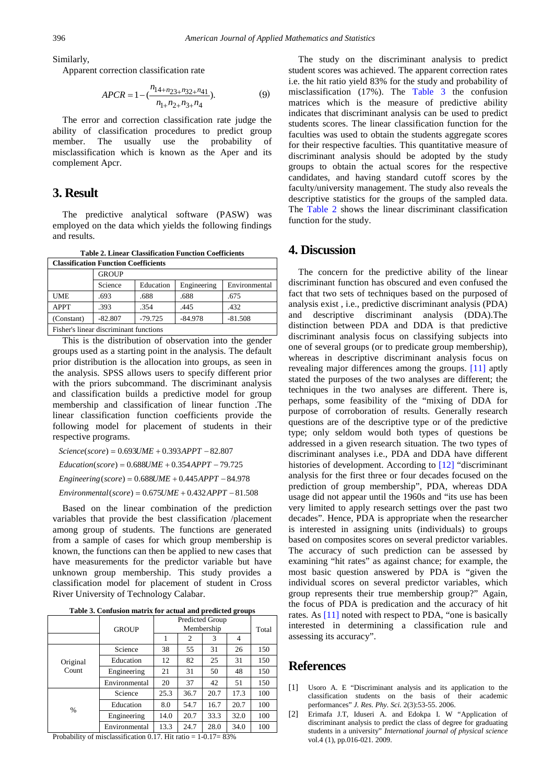Similarly,

Apparent correction classification rate

$$
APCR = 1 - \left(\frac{n_{14+n_{23}+n_{32}+n_{41}}}{n_{1+}n_{2+}n_{3+}n_4}\right). \tag{9}
$$

The error and correction classification rate judge the ability of classification procedures to predict group member. The usually use the probability of misclassification which is known as the Aper and its complement Apcr.

## **3. Result**

The predictive analytical software (PASW) was employed on the data which yields the following findings and results.

**Table 2. Linear Classification Function Coefficients**

<span id="page-2-3"></span>

| <b>Classification Function Coefficients</b> |              |           |             |               |  |  |  |  |
|---------------------------------------------|--------------|-----------|-------------|---------------|--|--|--|--|
|                                             | <b>GROUP</b> |           |             |               |  |  |  |  |
|                                             | Science      | Education | Engineering | Environmental |  |  |  |  |
| <b>UME</b>                                  | .693         | .688      | .688        | .675          |  |  |  |  |
| <b>APPT</b>                                 | .393         | .354      | .445        | .432          |  |  |  |  |
| (Constant)                                  | $-82.807$    | $-79.725$ | $-84.978$   | $-81.508$     |  |  |  |  |
| Fisher's linear discriminant functions      |              |           |             |               |  |  |  |  |

This is the distribution of observation into the gender groups used as a starting point in the analysis. The default prior distribution is the allocation into groups, as seen in the analysis. SPSS allows users to specify different prior with the priors subcommand. The discriminant analysis and classification builds a predictive model for group membership and classification of linear function .The linear classification function coefficients provide the following model for placement of students in their respective programs.

 $Science(score) = 0.693 UME + 0.393 APPT - 82.807$  $Education(score) = 0.688 UME + 0.354 APPT - 79.725$ 

 $Engineering (score) = 0.688 UME + 0.445 APPT - 84.978$ 

 $Environmental(score) = 0.675 UME + 0.432 APPT - 81.508$ 

Based on the linear combination of the prediction variables that provide the best classification /placement among group of students. The functions are generated from a sample of cases for which group membership is known, the functions can then be applied to new cases that have measurements for the predictor variable but have unknown group membership. This study provides a classification model for placement of student in Cross River University of Technology Calabar.

**Table 3. Confusion matrix for actual and predicted groups**

<span id="page-2-2"></span>

|                   | <b>GROUP</b>  | Predicted Group<br>Membership |      |      |      | Total |
|-------------------|---------------|-------------------------------|------|------|------|-------|
|                   |               |                               | 2    | 3    | 4    |       |
| Original<br>Count | Science       | 38                            | 55   | 31   | 26   | 150   |
|                   | Education     | 12                            | 82   | 25   | 31   | 150   |
|                   | Engineering   | 21                            | 31   | 50   | 48   | 150   |
|                   | Environmental | 20                            | 37   | 42   | 51   | 150   |
| %                 | Science       | 25.3                          | 36.7 | 20.7 | 17.3 | 100   |
|                   | Education     | 8.0                           | 54.7 | 16.7 | 20.7 | 100   |
|                   | Engineering   | 14.0                          | 20.7 | 33.3 | 32.0 | 100   |
|                   | Environmental | 13.3                          | 24.7 | 28.0 | 34.0 | 100   |

Probability of misclassification 0.17. Hit ratio = 1-0.17= 83%

The study on the discriminant analysis to predict student scores was achieved. The apparent correction rates i.e. the hit ratio yield 83% for the study and probability of misclassification (17%). The [Table 3](#page-2-2) the confusion matrices which is the measure of predictive ability indicates that discriminant analysis can be used to predict students scores. The linear classification function for the faculties was used to obtain the students aggregate scores for their respective faculties. This quantitative measure of discriminant analysis should be adopted by the study groups to obtain the actual scores for the respective candidates, and having standard cutoff scores by the faculty/university management. The study also reveals the descriptive statistics for the groups of the sampled data. The [Table 2](#page-2-3) shows the linear discriminant classification function for the study.

## **4. Discussion**

The concern for the predictive ability of the linear discriminant function has obscured and even confused the fact that two sets of techniques based on the purposed of analysis exist , i.e., predictive discriminant analysis (PDA) and descriptive discriminant analysis (DDA).The distinction between PDA and DDA is that predictive discriminant analysis focus on classifying subjects into one of several groups (or to predicate group membership), whereas in descriptive discriminant analysis focus on revealing major differences among the groups. [\[11\]](#page-3-8) aptly stated the purposes of the two analyses are different; the techniques in the two analyses are different. There is, perhaps, some feasibility of the "mixing of DDA for purpose of corroboration of results. Generally research questions are of the descriptive type or of the predictive type; only seldom would both types of questions be addressed in a given research situation. The two types of discriminant analyses i.e., PDA and DDA have different histories of development. According to [\[12\]](#page-3-9) "discriminant analysis for the first three or four decades focused on the prediction of group membership", PDA, whereas DDA usage did not appear until the 1960s and "its use has been very limited to apply research settings over the past two decades". Hence, PDA is appropriate when the researcher is interested in assigning units (individuals) to groups based on composites scores on several predictor variables. The accuracy of such prediction can be assessed by examining "hit rates" as against chance; for example, the most basic question answered by PDA is "given the individual scores on several predictor variables, which group represents their true membership group?" Again, the focus of PDA is predication and the accuracy of hit rates. As [\[11\]](#page-3-8) noted with respect to PDA, "one is basically interested in determining a classification rule and assessing its accuracy".

## **References**

- <span id="page-2-0"></span>[1] Usoro A. E "Discriminant analysis and its application to the classification students on the basis of their academic performances" *J. Res. Phy. Sci.* 2(3):53-55. 2006.
- <span id="page-2-1"></span>[2] Erimafa J.T, Iduseri A. and Edokpa I. W "Application of discriminant analysis to predict the class of degree for graduating students in a university" *International journal of physical science* vol.4 (1), pp.016-021. 2009.